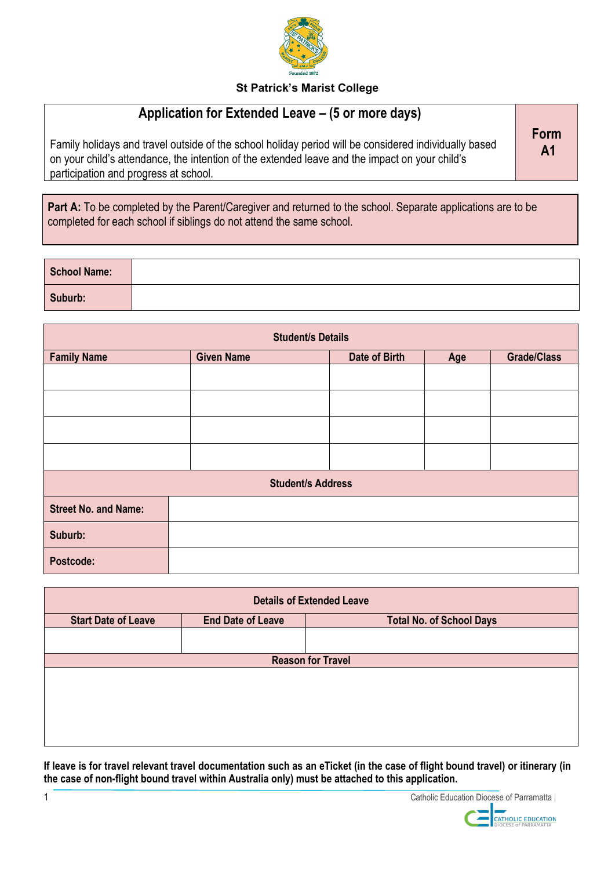

### **St Patrick's Marist College**

# **Application for Extended Leave – (5 or more days)**

Family holidays and travel outside of the school holiday period will be considered individually based on your child's attendance, the intention of the extended leave and the impact on your child's participation and progress at school.

**Form A1**

**Part A:** To be completed by the Parent/Caregiver and returned to the school. Separate applications are to be completed for each school if siblings do not attend the same school.

| School Name: |  |
|--------------|--|
| Suburb:      |  |

| <b>Student/s Details</b>    |                   |               |     |                    |
|-----------------------------|-------------------|---------------|-----|--------------------|
| <b>Family Name</b>          | <b>Given Name</b> | Date of Birth | Age | <b>Grade/Class</b> |
|                             |                   |               |     |                    |
|                             |                   |               |     |                    |
|                             |                   |               |     |                    |
|                             |                   |               |     |                    |
| <b>Student/s Address</b>    |                   |               |     |                    |
| <b>Street No. and Name:</b> |                   |               |     |                    |
| Suburb:                     |                   |               |     |                    |
| Postcode:                   |                   |               |     |                    |

| <b>Details of Extended Leave</b> |                                                             |                          |  |  |
|----------------------------------|-------------------------------------------------------------|--------------------------|--|--|
| <b>Start Date of Leave</b>       | <b>End Date of Leave</b><br><b>Total No. of School Days</b> |                          |  |  |
|                                  |                                                             |                          |  |  |
|                                  |                                                             | <b>Reason for Travel</b> |  |  |
|                                  |                                                             |                          |  |  |
|                                  |                                                             |                          |  |  |
|                                  |                                                             |                          |  |  |
|                                  |                                                             |                          |  |  |
|                                  |                                                             |                          |  |  |

**If leave is for travel relevant travel documentation such as an eTicket (in the case of flight bound travel) or itinerary (in the case of non-flight bound travel within Australia only) must be attached to this application.**



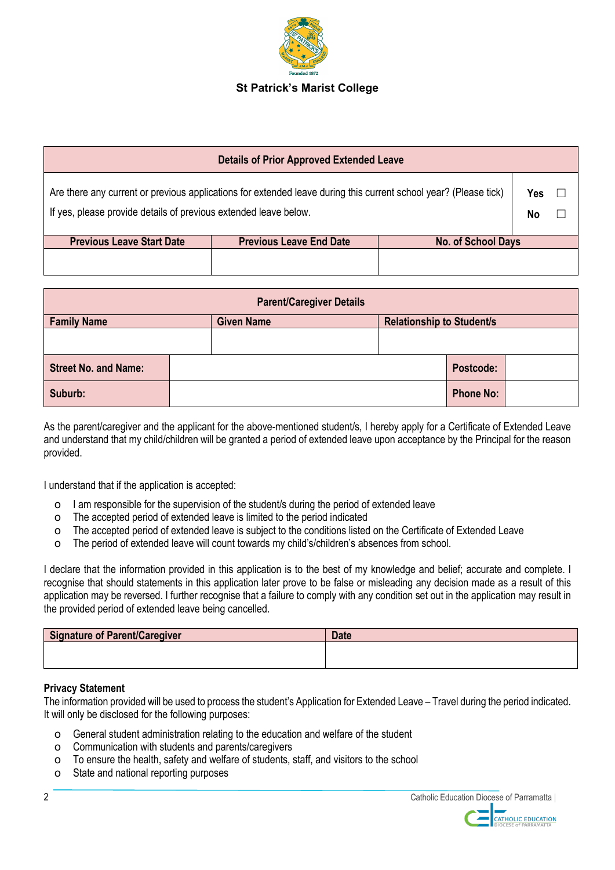

#### **St Patrick's Marist College**

| <b>Details of Prior Approved Extended Leave</b>                                                                                                                                      |                                |                    |  |  |
|--------------------------------------------------------------------------------------------------------------------------------------------------------------------------------------|--------------------------------|--------------------|--|--|
| Are there any current or previous applications for extended leave during this current school year? (Please tick)<br>If yes, please provide details of previous extended leave below. |                                |                    |  |  |
| <b>Previous Leave Start Date</b>                                                                                                                                                     | <b>Previous Leave End Date</b> | No. of School Days |  |  |
|                                                                                                                                                                                      |                                |                    |  |  |

| <b>Parent/Caregiver Details</b> |  |                   |  |                                  |                  |  |
|---------------------------------|--|-------------------|--|----------------------------------|------------------|--|
| <b>Family Name</b>              |  | <b>Given Name</b> |  | <b>Relationship to Student/s</b> |                  |  |
|                                 |  |                   |  |                                  |                  |  |
| <b>Street No. and Name:</b>     |  |                   |  |                                  | Postcode:        |  |
| Suburb:                         |  |                   |  |                                  | <b>Phone No:</b> |  |

As the parent/caregiver and the applicant for the above-mentioned student/s, I hereby apply for a Certificate of Extended Leave and understand that my child/children will be granted a period of extended leave upon acceptance by the Principal for the reason provided.

I understand that if the application is accepted:

- o I am responsible for the supervision of the student/s during the period of extended leave
- o The accepted period of extended leave is limited to the period indicated
- o The accepted period of extended leave is subject to the conditions listed on the Certificate of Extended Leave
- o The period of extended leave will count towards my child's/children's absences from school.

I declare that the information provided in this application is to the best of my knowledge and belief; accurate and complete. I recognise that should statements in this application later prove to be false or misleading any decision made as a result of this application may be reversed. I further recognise that a failure to comply with any condition set out in the application may result in the provided period of extended leave being cancelled.

| <b>Signature of Parent/Caregiver</b> | <b>Date</b> |
|--------------------------------------|-------------|
|                                      |             |
|                                      |             |

#### **Privacy Statement**

The information provided will be used to process the student's Application for Extended Leave – Travel during the period indicated. It will only be disclosed for the following purposes:

- o General student administration relating to the education and welfare of the student
- o Communication with students and parents/caregivers
- o To ensure the health, safety and welfare of students, staff, and visitors to the school
- o State and national reporting purposes